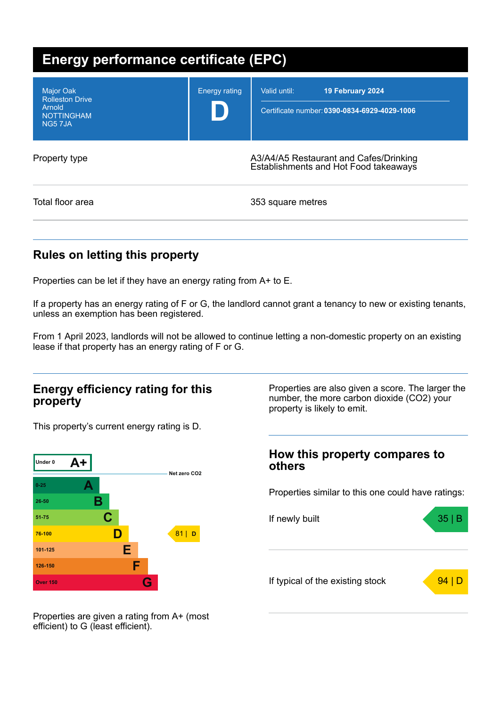| <b>Energy performance certificate (EPC)</b>                                         |                                                                                 |                                                                                  |  |
|-------------------------------------------------------------------------------------|---------------------------------------------------------------------------------|----------------------------------------------------------------------------------|--|
| <b>Major Oak</b><br><b>Rolleston Drive</b><br>Arnold<br><b>NOTTINGHAM</b><br>NG57JA | <b>Energy rating</b>                                                            | Valid until:<br>19 February 2024<br>Certificate number: 0390-0834-6929-4029-1006 |  |
| Property type                                                                       | A3/A4/A5 Restaurant and Cafes/Drinking<br>Establishments and Hot Food takeaways |                                                                                  |  |
| Total floor area                                                                    |                                                                                 | 353 square metres                                                                |  |

## **Rules on letting this property**

Properties can be let if they have an energy rating from A+ to E.

If a property has an energy rating of F or G, the landlord cannot grant a tenancy to new or existing tenants, unless an exemption has been registered.

From 1 April 2023, landlords will not be allowed to continue letting a non-domestic property on an existing lease if that property has an energy rating of F or G.

### **Energy efficiency rating for this property**

This property's current energy rating is D.



Properties are also given a score. The larger the number, the more carbon dioxide (CO2) your property is likely to emit.

### **How this property compares to others**

Properties similar to this one could have ratings:



Properties are given a rating from A+ (most efficient) to G (least efficient).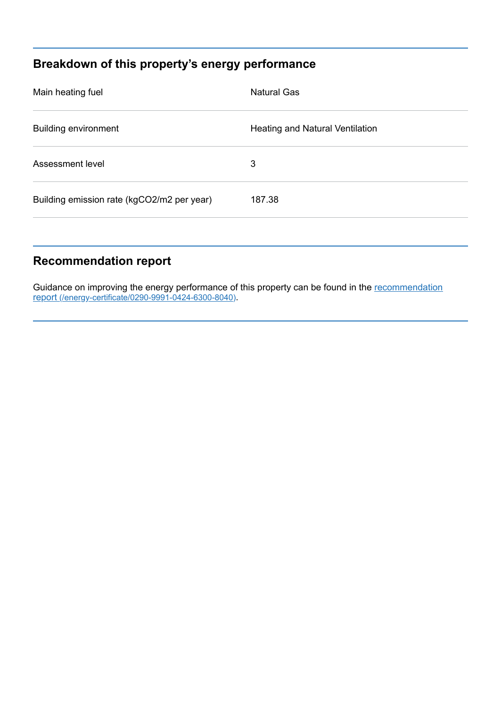# **Breakdown of this property's energy performance**

| Main heating fuel                          | <b>Natural Gas</b>              |
|--------------------------------------------|---------------------------------|
| <b>Building environment</b>                | Heating and Natural Ventilation |
| Assessment level                           | 3                               |
| Building emission rate (kgCO2/m2 per year) | 187.38                          |
|                                            |                                 |

# **Recommendation report**

Guidance on improving the energy performance of this property can be found in the recommendation report (/energy-certificate/0290-9991-0424-6300-8040).